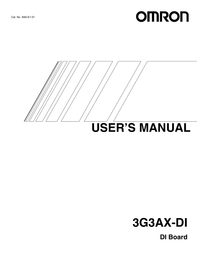# **OMRON**





**DI Board**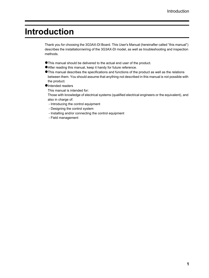## <span id="page-1-0"></span>**Introduction**

Thank you for choosing the 3G3AX-DI Board. This User's Manual (hereinafter called "this manual") describes the installation/wiring of the 3G3AX-DI model, as well as troubleshooting and inspection methods.

- **This manual should be delivered to the actual end user of the product.**
- After reading this manual, keep it handy for future reference.
- **This manual describes the specifications and functions of the product as well as the relations** between them. You should assume that anything not described in this manual is not possible with the product.
- $\bullet$ Intended readers

This manual is intended for:

 Those with knowledge of electrical systems (qualified electrical engineers or the equivalent), and also in charge of:

- Introducing the control equipment
- Designing the control system
- Installing and/or connecting the control equipment
- Field management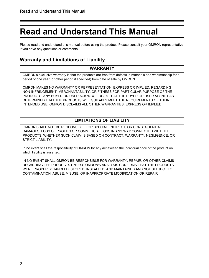# <span id="page-2-0"></span>**Read and Understand This Manual**

Please read and understand this manual before using the product. Please consult your OMRON representative if you have any questions or comments.

### **Warranty and Limitations of Liability**

#### **WARRANTY**

OMRON's exclusive warranty is that the products are free from defects in materials and workmanship for a period of one year (or other period if specified) from date of sale by OMRON.

OMRON MAKES NO WARRANTY OR REPRESENTATION, EXPRESS OR IMPLIED, REGARDING NON-INFRINGEMENT, MERCHANTABILITY, OR FITNESS FOR PARTICULAR PURPOSE OF THE PRODUCTS. ANY BUYER OR USER ACKNOWLEDGES THAT THE BUYER OR USER ALONE HAS DETERMINED THAT THE PRODUCTS WILL SUITABLY MEET THE REQUIREMENTS OF THEIR INTENDED USE. OMRON DISCLAIMS ALL OTHER WARRANTIES, EXPRESS OR IMPLIED.

#### **LIMITATIONS OF LIABILITY**

OMRON SHALL NOT BE RESPONSIBLE FOR SPECIAL, INDIRECT, OR CONSEQUENTIAL DAMAGES, LOSS OF PROFITS OR COMMERCIAL LOSS IN ANY WAY CONNECTED WITH THE PRODUCTS, WHETHER SUCH CLAIM IS BASED ON CONTRACT, WARRANTY, NEGLIGENCE, OR STRICT LIABILITY.

In no event shall the responsibility of OMRON for any act exceed the individual price of the product on which liability is asserted.

IN NO EVENT SHALL OMRON BE RESPONSIBLE FOR WARRANTY, REPAIR, OR OTHER CLAIMS REGARDING THE PRODUCTS UNLESS OMRON'S ANALYSIS CONFIRMS THAT THE PRODUCTS WERE PROPERLY HANDLED, STORED, INSTALLED, AND MAINTAINED AND NOT SUBJECT TO CONTAMINATION, ABUSE, MISUSE, OR INAPPROPRIATE MODIFICATION OR REPAIR.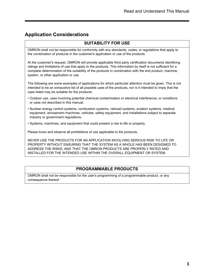### **Application Considerations**

#### **SUITABILITY FOR USE**

OMRON shall not be responsible for conformity with any standards, codes, or regulations that apply to the combination of products in the customer's application or use of the products.

At the customer's request, OMRON will provide applicable third party certification documents identifying ratings and limitations of use that apply to the products. This information by itself is not sufficient for a complete determination of the suitability of the products in combination with the end product, machine, system, or other application or use.

The following are some examples of applications for which particular attention must be given. This is not intended to be an exhaustive list of all possible uses of the products, nor is it intended to imply that the uses listed may be suitable for the products:

- Outdoor use, uses involving potential chemical contamination or electrical interference, or conditions or uses not described in this manual.
- Nuclear energy control systems, combustion systems, railroad systems, aviation systems, medical equipment, amusement machines, vehicles, safety equipment, and installations subject to separate industry or government regulations.
- Systems, machines, and equipment that could present a risk to life or property.

Please know and observe all prohibitions of use applicable to the products.

NEVER USE THE PRODUCTS FOR AN APPLICATION INVOLVING SERIOUS RISK TO LIFE OR PROPERTY WITHOUT ENSURING THAT THE SYSTEM AS A WHOLE HAS BEEN DESIGNED TO ADDRESS THE RISKS, AND THAT THE OMRON PRODUCTS ARE PROPERLY RATED AND INSTALLED FOR THE INTENDED USE WITHIN THE OVERALL EQUIPMENT OR SYSTEM.

#### **PROGRAMMABLE PRODUCTS**

OMRON shall not be responsible for the user's programming of a programmable product, or any consequence thereof.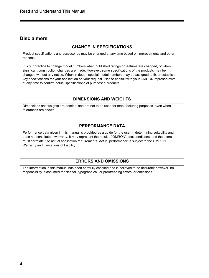### **Disclaimers**

#### **CHANGE IN SPECIFICATIONS**

Product specifications and accessories may be changed at any time based on improvements and other reasons.

It is our practice to change model numbers when published ratings or features are changed, or when significant construction changes are made. However, some specifications of the products may be changed without any notice. When in doubt, special model numbers may be assigned to fix or establish key specifications for your application on your request. Please consult with your OMRON representative at any time to confirm actual specifications of purchased products.

#### **DIMENSIONS AND WEIGHTS**

Dimensions and weights are nominal and are not to be used for manufacturing purposes, even when tolerances are shown.

#### **PERFORMANCE DATA**

Performance data given in this manual is provided as a guide for the user in determining suitability and does not constitute a warranty. It may represent the result of OMRON's test conditions, and the users must correlate it to actual application requirements. Actual performance is subject to the OMRON Warranty and Limitations of Liability.

#### **ERRORS AND OMISSIONS**

The information in this manual has been carefully checked and is believed to be accurate; however, no responsibility is assumed for clerical, typographical, or proofreading errors, or omissions.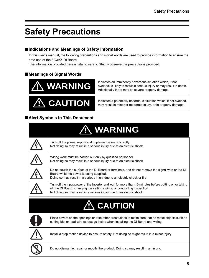# <span id="page-5-0"></span>**Safety Precautions**

#### **Indications and Meanings of Safety Information**

In this user's manual, the following precautions and signal words are used to provide information to ensure the safe use of the 3G3AX-DI Board.

The information provided here is vital to safety. Strictly observe the precautions provided.

### **Meanings of Signal Words**



Indicates an imminently hazardous situation which, if not avoided, is likely to result in serious injury or may result in death. Additionally there may be severe property damage.

**CAUTION**

Indicates a potentially hazardous situation which, if not avoided, may result in minor or moderate injury, or in property damage.

### **Alert Symbols in This Document**

| <b>A WARNING</b>                                                                                                                                                                                                                                             |
|--------------------------------------------------------------------------------------------------------------------------------------------------------------------------------------------------------------------------------------------------------------|
| Turn off the power supply and implement wiring correctly.<br>Not doing so may result in a serious injury due to an electric shock.                                                                                                                           |
| Wiring work must be carried out only by qualified personnel.<br>Not doing so may result in a serious injury due to an electric shock.                                                                                                                        |
| Do not touch the surface of the DI Board or terminals, and do not remove the signal wire or the DI<br>Board while the power is being supplied.<br>Doing so may result in a serious injury due to an electric shock or fire.                                  |
| Turn off the input power of the Inverter and wait for more than 10 minutes before putting on or taking<br>off the DI Board, changing the setting / wiring or conducting inspection.<br>Not doing so may result in a serious injury due to an electric shock. |

|                    | A CAUTION                                                                                                                                                                                |
|--------------------|------------------------------------------------------------------------------------------------------------------------------------------------------------------------------------------|
| $\bf{J}$           | Place covers on the openings or take other precautions to make sure that no metal objects such as<br>cutting bits or lead wire scraps go inside when installing the DI Board and wiring. |
| $\hat{\mathbf{r}}$ | Install a stop motion device to ensure safety. Not doing so might result in a minor injury.                                                                                              |
|                    | Do not dismantle, repair or modify the product. Doing so may result in an injury.                                                                                                        |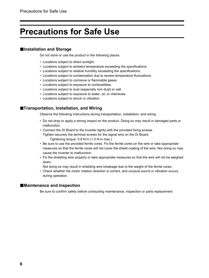## <span id="page-6-0"></span>**Precautions for Safe Use**

#### **Installation and Storage**

Do not store or use the product in the following places.

- Locations subject to direct sunlight.
- Locations subject to ambient temperature exceeding the specifications.
- Locations subject to relative humidity exceeding the specifications.
- Locations subject to condensation due to severe temperature fluctuations.
- Locations subject to corrosive or flammable gases.
- Locations subject to exposure to combustibles.
- Locations subject to dust (especially iron dust) or salt.
- Locations subject to exposure to water, oil, or chemicals.
- Locations subject to shock or vibration.

#### **Transportation, Installation, and Wiring**

Observe the following instructions during transportation, installation, and wiring.

- Do not drop or apply a strong impact on the product. Doing so may result in damaged parts or malfunction.
- Connect the DI Board to the Inverter tightly with the provided fixing screws. Tighten securely the terminal screws for the signal wire on the DI Board. Tightening torque: 0.9 N⋅m (1.0 N⋅m max.)
- Be sure to use the provided ferrite cores. Fix the ferrite cores on the wire or take appropriate measures so that the ferrite cores will not cover the shield coating of the wire. Not doing so may cause the Inverter to malfunction.
- Fix the shielding wire properly or take appropriate measures so that the wire will not be weighed down.
- Not doing so may result in shielding wire breakage due to the weight of the ferrite cores.
- Check whether the motor rotation direction is correct, and unusual sound or vibration occurs during operation.

#### **Maintenance and Inspection**

Be sure to confirm safety before conducting maintenance, inspection or parts replacement.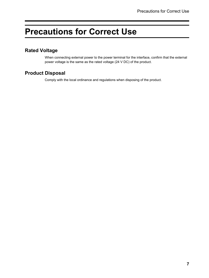# <span id="page-7-0"></span>**Precautions for Correct Use**

### **Rated Voltage**

When connecting external power to the power terminal for the interface, confirm that the external power voltage is the same as the rated voltage (24 V DC) of the product.

### **Product Disposal**

Comply with the local ordinance and regulations when disposing of the product.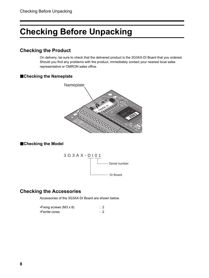# <span id="page-8-0"></span>**Checking Before Unpacking**

### **Checking the Product**

On delivery, be sure to check that the delivered product is the 3G3AX-DI Board that you ordered. Should you find any problems with the product, immediately contact your nearest local sales representative or OMRON sales office.

#### **Checking the Nameplate**



#### **Checking the Model**



### **Checking the Accessories**

Accessories of the 3G3AX-DI Board are shown below.

| $\cdot$ Fixing screws (M3 x 8) | $\therefore$ 2 |  |
|--------------------------------|----------------|--|
| •Ferrite cores                 | $\therefore$ 2 |  |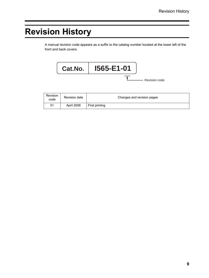# <span id="page-9-0"></span>**Revision History**

A manual revision code appears as a suffix to the catalog number located at the lower left of the front and back covers.



| Revision<br>code | Revision date | Changes and revision pages |
|------------------|---------------|----------------------------|
| 01               | April 2008    | First printing             |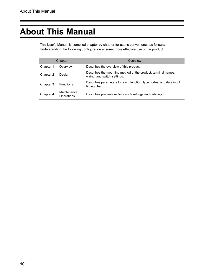# <span id="page-10-0"></span>**About This Manual**

This User's Manual is compiled chapter by chapter for user's convenience as follows: Understanding the following configuration ensures more effective use of the product.

| Chapter   |                           | Overview                                                                                      |
|-----------|---------------------------|-----------------------------------------------------------------------------------------------|
| Chapter 1 | Overview                  | Describes the overview of this product.                                                       |
| Chapter 2 | Design                    | Describes the mounting method of the product, terminal names,<br>wiring, and switch settings. |
| Chapter 3 | <b>Functions</b>          | Describes parameters for each function, type codes, and data input<br>timing chart.           |
| Chapter 4 | Maintenance<br>Operations | Describes precautions for switch settings and data input.                                     |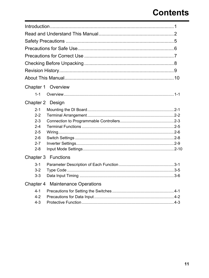# **Contents**

| Chapter 1 Overview                         |
|--------------------------------------------|
| $1 - 1$                                    |
| Chapter 2 Design                           |
| $2 - 1$                                    |
| $2 - 2$                                    |
| $2 - 3$                                    |
| $2 - 4$                                    |
| $2 - 5$                                    |
| $2 - 6$                                    |
| $2 - 7$                                    |
| $2 - 8$                                    |
| Chapter 3 Functions                        |
| $3 - 1$                                    |
| $3 - 2$                                    |
| $3 - 3$                                    |
| Chapter 4<br><b>Maintenance Operations</b> |
| $4 - 1$                                    |
| $4 - 2$                                    |
| $4 - 3$                                    |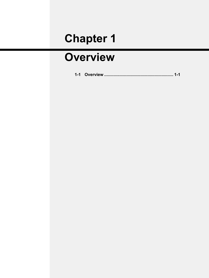# **[Chapter 1](#page-13-1)**

# **O[verview](#page-13-0)**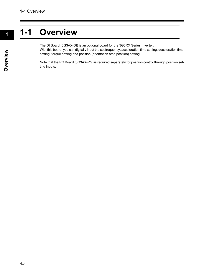# <span id="page-13-1"></span>**1-1 Overview**

<span id="page-13-0"></span>The DI Board (3G3AX-DI) is an optional board for the 3G3RX Series Inverter. With this board, you can digitally input the set frequency, acceleration time setting, deceleration time setting, torque setting and position (orientation stop position) setting.

Note that the PG Board (3G3AX-PG) is required separately for position control through position setting inputs.

**1**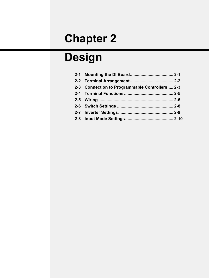# **[Chapte](#page-15-1)r 2**

# **D[esign](#page-15-0)**

| 2-3 Connection to Programmable Controllers 2-3 |  |
|------------------------------------------------|--|
|                                                |  |
|                                                |  |
|                                                |  |
|                                                |  |
|                                                |  |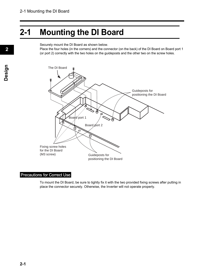# <span id="page-15-1"></span><span id="page-15-0"></span>**2-1 Mounting the DI Board**

Securely mount the DI Board as shown below.

Place the four holes (in the corners) and the connector (on the back) of the DI Board on Board port 1 (or port 2) correctly with the two holes on the guideposts and the other two on the screw holes.



### **Precautions for Correct Use**

To mount the DI Board, be sure to tightly fix it with the two provided fixing screws after putting in place the connector securely. Otherwise, the Inverter will not operate properly.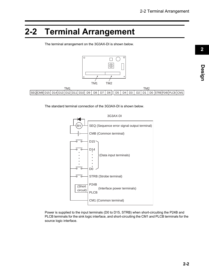## <span id="page-16-0"></span>**2-2 Terminal Arrangement**

The terminal arrangement on the 3G3AX-DI is shown below.



The standard terminal connection of the 3G3AX-DI is shown below.



Power is supplied to the input terminals (D0 to D15, STRB) when short-circuiting the P24B and PLCB terminals for the sink logic interface, and short-circuiting the CM1 and PLCB terminals for the source logic interface.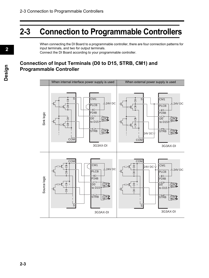# <span id="page-17-0"></span>**2-3 Connection to Programmable Controllers**

When connecting the DI Board to a programmable controller, there are four connection patterns for input terminals, and two for output terminals.

Connect the DI Board according to your programmable controller.

### **Connection of Input Terminals (D0 to D15, STRB, CM1) and Programmable Controller**



**Design**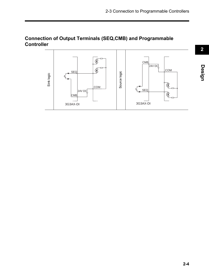### **Connection of Output Terminals (SEQ,CMB) and Programmable Controller**



**Design**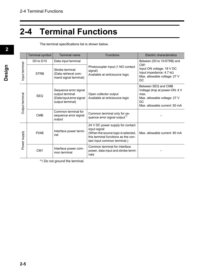# <span id="page-19-0"></span>**2-4 Terminal Functions**

The terminal specifications list is shown below.

|                 | Terminal symbol | <b>Terminal name</b>                                                                     | <b>Functions</b>                                                                                                                                               | Electric characteristics                                                                                                            |  |  |
|-----------------|-----------------|------------------------------------------------------------------------------------------|----------------------------------------------------------------------------------------------------------------------------------------------------------------|-------------------------------------------------------------------------------------------------------------------------------------|--|--|
|                 | D0 to D15       | Data input terminal                                                                      |                                                                                                                                                                | Between (D0 to 15•STRB) and<br>CM <sub>1</sub>                                                                                      |  |  |
| Input terminal  | <b>STRB</b>     | Strobe terminal<br>(Data retrieval com-<br>mand signal terminal)                         | Input ON voltage: 18 V DC<br>Input impedance: $4.7 \text{ k}\Omega$<br>Max. allowable voltage: 27 V<br>DC                                                      |                                                                                                                                     |  |  |
| Output terminal | <b>SEQ</b>      | Sequence error signal<br>output terminal<br>(Data input error signal<br>output terminal) | Open collector output<br>Available at sink/source logic                                                                                                        | Between SEQ and CMB<br>Voltage drop at power-ON: 4 V<br>max.<br>Max. allowable voltage: 27 V<br>DC<br>Max, allowable current: 50 mA |  |  |
|                 | <b>CMB</b>      | Common terminal for<br>sequence error signal<br>output                                   | Common terminal only for se-<br>quence error signal output <sup>*1</sup>                                                                                       |                                                                                                                                     |  |  |
| supply          | <b>P24B</b>     | Interface power termi-<br>nal                                                            | 24 V DC power supply for contact<br>input signal<br>(When the source logic is selected,<br>this terminal functions as the con-<br>tact input common terminal.) | Max. allowable current: 90 mA                                                                                                       |  |  |
| Power:          | CM <sub>1</sub> | Interface power com-<br>mon terminal                                                     | Common terminal for interface<br>power, data input and strobe termi-<br>nals                                                                                   |                                                                                                                                     |  |  |

\*1.Do not ground the terminal.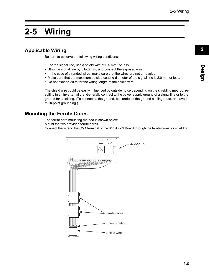# <span id="page-20-0"></span>**2-5 Wiring**

### **Applicable Wiring**

Be sure to observe the following wiring conditions:

- For the signal line, use a shield wire of 0.5  $mm<sup>2</sup>$  or less.
- Strip the signal line by 5 to 6 mm, and connect the exposed wire.
- In the case of stranded wires, make sure that the wires are not unraveled.
- Make sure that the maximum outside coating diameter of the signal line is 2.0 mm or less.
- Do not exceed 20 m for the wiring length of the shield wire.

The shield wire could be easily influenced by outside noise depending on the shielding method, resulting in an Inverter failure. Generally connect to the power supply ground of a signal line or to the ground for shielding. (To connect to the ground, be careful of the ground cabling route, and avoid multi-point grounding.)

### **Mounting the Ferrite Cores**

The ferrite core mounting method is shown below. Mount the two provided ferrite cores. Connect the wire to the CM1 terminal of the 3G3AX-DI Board through the ferrite cores for shielding.

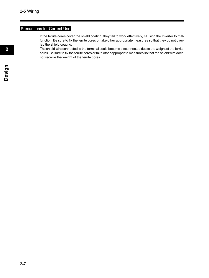### **Precautions for Correct Use**

If the ferrite cores cover the shield coating, they fail to work effectively, causing the Inverter to malfunction. Be sure to fix the ferrite cores or take other appropriate measures so that they do not overlap the shield coating.

The shield wire connected to the terminal could become disconnected due to the weight of the ferrite cores. Be sure to fix the ferrite cores or take other appropriate measures so that the shield wire does not receive the weight of the ferrite cores.

**2**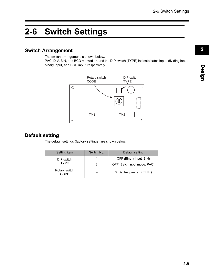# <span id="page-22-0"></span>**2-6 Switch Settings**

### **Switch Arrangement**

The switch arrangement is shown below.

PAC, DIV, BIN, and BCD marked around the DIP switch (TYPE) indicate batch input, dividing input, binary input, and BCD input, respectively.



### **Default setting**

The default settings (factory settings) are shown below.

| Setting item          | Switch No. | Default setting             |
|-----------------------|------------|-----------------------------|
| DIP switch            |            | OFF (Binary input: BIN)     |
| <b>TYPF</b>           |            | OFF (Batch input mode: PAC) |
| Rotary switch<br>CODE |            | 0 (Set frequency: 0.01 Hz)  |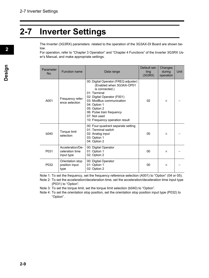# <span id="page-23-0"></span>**2-7 Inverter Settings**

The Inverter (3G3RX) parameters related to the operation of the 3G3AX-DI Board are shown below.

For operation, refer to "Chapter 3 Operation" and "Chapter 4 Functions" of the Inverter 3G3RX User's Manual, and make appropriate settings.

Parameter ameter Function name Data range Default setting (3G3RX) **Changes** during operation Unit A001 Frequency reference selection 00: Digital Operator (FREQ adjuster) (Enabled when 3G3AX-OP01 is connected.) 01: Terminal 02: Digital Operator (F001) 03: ModBus communication 04: Option 1 05: Option 2 06: Pulse train frequency 07: Not used 10: Frequency operation result 02 | × | − b040 | Torque limit selection 00: Four-quadrant separate setting 01: Terminal switch 02: Analog input 03: Option 1 04: Option 2 00 | × | − P031 Acceleration/Deceleration time input type 00: Digital Operator 01: Option 1 02: Option 2 00 | × | − P032 Orientation stop position input type 00: Digital Operator 01: Option 1 02: Option 2 00 | × | −

Note 1: To set the frequency, set the frequency reference selection (A001) to "Option" (04 or 05).

Note 2: To set the acceleration/deceleration time, set the acceleration/deceleration time input type (P031) to "Option".

Note 3: To set the torque limit, set the torque limit selection (b040) to "Option".

Note 4: To set the orientation stop position, set the orientation stop position input type (P032) to "Option".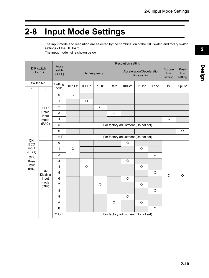# <span id="page-24-0"></span>**2-8 Input Mode Settings**

The input mode and resolution are selected by the combination of the DIP switch and rotary switch settings of the DI Board.

The input mode list is shown below.

| <b>DIP</b> switch<br>(TYPE) |                       | Rotary                  | <b>Resolution setting</b>           |          |            |                                           |                                     |                    |                            |                          |                     |  |  |
|-----------------------------|-----------------------|-------------------------|-------------------------------------|----------|------------|-------------------------------------------|-------------------------------------|--------------------|----------------------------|--------------------------|---------------------|--|--|
|                             |                       | switch<br>(CODE)        | Set frequency                       |          |            | Acceleration/Deceleration<br>time setting |                                     |                    | Torque<br>limit<br>setting | Posi-<br>tion<br>setting |                     |  |  |
| Switch No.                  |                       | Setting                 | $0.01$ Hz                           | $0.1$ Hz | 1 Hz       | Rate                                      | $0.01$ sec                          | 0.1 <sub>sec</sub> | 1 sec                      | 1%                       | 1 pulse             |  |  |
| 1                           | $\overline{2}$        | code                    |                                     |          |            |                                           |                                     |                    |                            |                          |                     |  |  |
|                             |                       | $\mathbf 0$             | $\circ$                             |          |            |                                           |                                     |                    |                            |                          |                     |  |  |
|                             |                       | $\mathbf 1$             |                                     | $\circ$  |            |                                           |                                     |                    |                            |                          |                     |  |  |
|                             | OFF:                  | $\overline{2}$          |                                     |          | $\circ$    |                                           |                                     |                    |                            |                          |                     |  |  |
|                             | <b>Batch</b><br>input | 3                       |                                     |          |            | $\circ$                                   |                                     |                    |                            |                          |                     |  |  |
|                             | mode                  | $\overline{\mathbf{4}}$ |                                     |          |            |                                           |                                     |                    |                            | $\bigcirc$               |                     |  |  |
|                             | (PAC)                 | 5                       |                                     |          |            |                                           | For factory adjustment (Do not set) |                    |                            |                          |                     |  |  |
|                             |                       | $\,6$                   |                                     |          |            |                                           |                                     |                    |                            |                          | $\bigcirc$          |  |  |
| ON:                         |                       | 7 to F                  |                                     |          |            |                                           | For factory adjustment (Do not set) |                    |                            |                          |                     |  |  |
| <b>BCD</b>                  |                       |                         | $\pmb{0}$                           |          |            |                                           |                                     |                    | $\bigcirc$                 |                          |                     |  |  |
| input<br>(BCD)              |                       | $\mathbf 1$             | $\bigcirc$                          |          |            |                                           |                                     | $\circ$            |                            |                          |                     |  |  |
| OFF:                        |                       | $\overline{2}$          |                                     |          |            |                                           |                                     |                    | $\bigcirc$                 |                          |                     |  |  |
| Binary                      |                       | $\mathfrak{S}$          |                                     |          |            |                                           | $\bigcirc$                          |                    |                            |                          |                     |  |  |
| input<br>(BIN)              |                       | $\overline{\mathbf{4}}$ |                                     | $\circ$  |            |                                           |                                     | $\circ$            |                            |                          |                     |  |  |
|                             | ON:<br>Dividing       | 5                       |                                     |          |            |                                           |                                     |                    | $\bigcirc$                 | $\circ$                  | $\circlearrowright$ |  |  |
|                             | input                 | $\,6$                   |                                     |          |            |                                           | $\bigcirc$                          |                    |                            |                          |                     |  |  |
|                             | mode<br>(DIV)         | $\overline{7}$          |                                     |          | $\bigcirc$ |                                           |                                     | $\circ$            |                            |                          |                     |  |  |
|                             |                       | 8                       |                                     |          |            |                                           |                                     |                    | $\bigcirc$                 |                          |                     |  |  |
|                             |                       | 9                       |                                     |          |            |                                           | $\circ$                             |                    |                            |                          |                     |  |  |
|                             |                       | A                       |                                     |          |            | $\bigcirc$                                |                                     | $\bigcirc$         |                            |                          |                     |  |  |
|                             |                       | $\sf B$                 |                                     |          |            |                                           |                                     |                    | $\circ$                    |                          |                     |  |  |
|                             |                       | $C$ to $F$              | For factory adjustment (Do not set) |          |            |                                           |                                     |                    |                            |                          |                     |  |  |

**Design**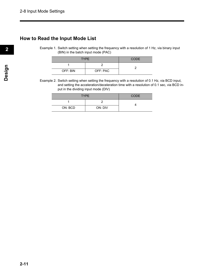### **How to Read the Input Mode List**

Example 1. Switch setting when setting the frequency with a resolution of 1 Hz, via binary input (BIN) in the batch input mode (PAC)

| <b>TYPE</b> | <b>CODE</b> |  |
|-------------|-------------|--|
|             |             |  |
| OFF: BIN    | OFF: PAC    |  |

Example 2. Switch setting when setting the frequency with a resolution of 0.1 Hz, via BCD input, and setting the acceleration/deceleration time with a resolution of 0.1 sec, via BCD input in the dividing input mode (DIV)

| <b>TYPE</b> | <b>CODE</b> |  |
|-------------|-------------|--|
|             |             |  |
| ON: BCD     | ON: DIV     |  |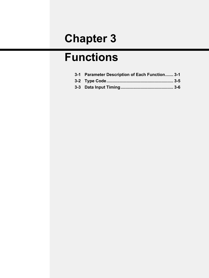# **[Chapter 3](#page-27-1)**

# **F[unctions](#page-27-0)**

|  | 3-1 Parameter Description of Each Function 3-1 |  |  |
|--|------------------------------------------------|--|--|
|--|------------------------------------------------|--|--|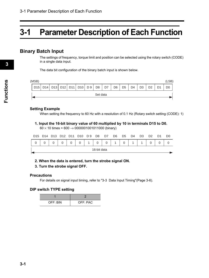## <span id="page-27-1"></span><span id="page-27-0"></span>**3-1 Parameter Description of Each Function**

#### **Binary Batch Input**

The settings of frequency, torque limit and position can be selected using the rotary switch (CODE) in a single data input.

The data bit configuration of the binary batch input is shown below.

| u |
|---|
|---|

| (MSB)    |                                  |  |  |  |  |  |  |  |                |                |    |                |                |  | (LSB)          |
|----------|----------------------------------|--|--|--|--|--|--|--|----------------|----------------|----|----------------|----------------|--|----------------|
|          | D15 D14 D13 D12 D11 D10 D9 D8 D7 |  |  |  |  |  |  |  | D <sub>6</sub> | D <sub>5</sub> | D4 | D <sub>3</sub> | D <sub>2</sub> |  | D <sub>0</sub> |
| Set data |                                  |  |  |  |  |  |  |  |                |                |    |                |                |  |                |

#### **Setting Example**

When setting the frequency to 60 Hz with a resolution of 0.1 Hz (Rotary switch setting (CODE): 1)

#### **1. Input the 16-bit binary value of 60 multiplied by 10 in terminals D15 to D0.**  $60 \times 10$  times =  $600 \rightarrow 0000001001011000$  (binary)

|             |  |  |  | D15 D14 D13 D12 D11 D10 D9 D8 D7 D6 D5 D4 D3 D2 D1 D0 |   |  |  |              |  |  |  |  |  |  |
|-------------|--|--|--|-------------------------------------------------------|---|--|--|--------------|--|--|--|--|--|--|
|             |  |  |  |                                                       | 1 |  |  | $\mathbf{1}$ |  |  |  |  |  |  |
| 16-bit data |  |  |  |                                                       |   |  |  |              |  |  |  |  |  |  |

#### **2. When the data is entered, turn the strobe signal ON.**

#### **3. Turn the strobe signal OFF.**

#### **Precautions**

For details on signal input timing, refer to ["3-3 Data Input Timing"\(Page 3-6\).](#page-32-1)

| OFF: BIN | OFF: PAC |
|----------|----------|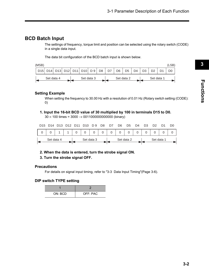### **BCD Batch Input**

The settings of frequency, torque limit and position can be selected using the rotary switch (CODE) in a single data input.

The data bit configuration of the BCD batch input is shown below.



#### **Setting Example**

When setting the frequency to 30.00 Hz with a resolution of 0.01 Hz (Rotary switch setting (CODE): 0)

**1. Input the 16-bit BCD value of 30 multiplied by 100 in terminals D15 to D0.**  $30 \times 100$  times = 3000  $\rightarrow$  00110000000000000 (binary)

| D15 D14 D13 D12 D11 D10 D9 D8 D7 D6 D5 D4 D3 D2 D1 D0 |  |  |  |  |  |            |  |            |  |  |
|-------------------------------------------------------|--|--|--|--|--|------------|--|------------|--|--|
|                                                       |  |  |  |  |  |            |  |            |  |  |
| Set data 3<br>Set data 4                              |  |  |  |  |  | Set data 2 |  | Set data 1 |  |  |

#### **2. When the data is entered, turn the strobe signal ON.**

#### **3. Turn the strobe signal OFF.**

#### **Precautions**

For details on signal input timing, refer to ["3-3 Data Input Timing"\(Page 3-6\)](#page-32-1).

| ON: BCD | OFF: PAC |
|---------|----------|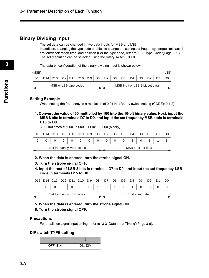### **Binary Dividing Input**

The set data can be changed in two data inputs for MSB and LSB. In addition, changing the type code enables to change the settings of frequency, torque limit, acceleration/deceleration time, and position (For the type code, refer to ["3-2 Type Code"\(Page 3-5\)](#page-31-1)). The set resolution can be selected using the rotary switch (CODE).

The data bit configuration of the binary dividing input is shown below.

| (MSB) |                                        |                       |  |  |    |    |                |                |                |    |                                 | 'LSB) |
|-------|----------------------------------------|-----------------------|--|--|----|----|----------------|----------------|----------------|----|---------------------------------|-------|
|       | D15   D14   D13   D12   D11   D10   D9 |                       |  |  | D8 | D7 | D <sub>6</sub> | D <sub>5</sub> | D <sub>4</sub> | D3 | מח                              |       |
|       |                                        | MSB or LSB type codes |  |  |    |    |                |                |                |    | MSB 8-bit or LSB 8-bit set data |       |

#### **Setting Example**

When setting the frequency to a resolution of 0.01 Hz (Rotary switch setting (CODE): 0,1,2)

**1. Convert the value of 60 multiplied by 100 into the 16-bit binary value. Next, input the MSB 8 bits in terminals D7 to D0, and input the set frequency MSB code in terminals D15 to D8.**

 $60 \times 100$  times = 6000  $\rightarrow$  0001011101110000 (binary)

|                         |  |  |  |  | D15 D14 D13 D12 D11 D10 D9 D8 D7 D6 D5 D4 |                |  |  |  |                    | D.3 | D <sub>2</sub> |  |
|-------------------------|--|--|--|--|-------------------------------------------|----------------|--|--|--|--------------------|-----|----------------|--|
|                         |  |  |  |  |                                           | $\overline{0}$ |  |  |  |                    |     |                |  |
| Set frequency MSB codes |  |  |  |  |                                           |                |  |  |  | MSB 8-bit set data |     |                |  |

- **2. When the data is entered, turn the strobe signal ON.**
- **3. Turn the strobe signal OFF.**
- **4. Input the rest of LSB 8 bits in terminals D7 to D0, and input the set frequency LSB code in terminals D15 to D8.**

|                         |  |  |  |  | D15 D14 D13 D12 D11 D10 D9 D8 D7 D6 |  |  |  | D5 D4 |                    | $\Box$ D.3 | D2. |  |
|-------------------------|--|--|--|--|-------------------------------------|--|--|--|-------|--------------------|------------|-----|--|
|                         |  |  |  |  |                                     |  |  |  |       |                    |            |     |  |
| Set frequency LSB codes |  |  |  |  |                                     |  |  |  |       | LSB 8-bit set data |            |     |  |

- **5. When the data is entered, turn the strobe signal ON.**
- **6. Turn the strobe signal OFF.**

#### **Precautions**

For details on signal input timing, refer to ["3-3 Data Input Timing"\(Page 3-6\).](#page-32-1)

| OFF: BIN | ON: DIV |
|----------|---------|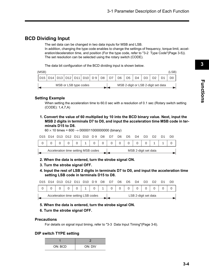### **BCD Dividing Input**

The set data can be changed in two data inputs for MSB and LSB. In addition, changing the type code enables to change the settings of frequency, torque limit, acceleration/deceleration time, and position (For the type code, refer to ["3-2 Type Code"\(Page 3-5\)\)](#page-31-1). The set resolution can be selected using the rotary switch (CODE).

The data bit configuration of the BCD dividing input is shown below.

| (MSB) |                                             |  |                       |  |                |                |                |                |                |                                     | LSB) |
|-------|---------------------------------------------|--|-----------------------|--|----------------|----------------|----------------|----------------|----------------|-------------------------------------|------|
|       | D15   D14   D13   D12   D11   D10   D9   D8 |  |                       |  | D <sub>7</sub> | D <sub>6</sub> | D <sub>5</sub> | D <sub>4</sub> | D <sub>3</sub> |                                     |      |
|       |                                             |  | MSB or LSB type codes |  |                |                |                |                |                | MSB 2-digit or LSB 2-digit set data |      |

#### **Setting Example**

When setting the acceleration time to 60.0 sec with a resolution of 0.1 sec (Rotary switch setting (CODE): 1,4,7,A)

**1. Convert the value of 60 multiplied by 10 into the BCD binary value. Next, input the MSB 2 digits in terminals D7 to D0, and input the acceleration time MSB code in terminals D15 to D8.**

 $60 \times 10$  times =  $600 \rightarrow 0000011000000000$  (binary)

|                                                             |  |  |  |  | D15 D14 D13 D12 D11 D10 D9 D8 D7 D6 D5 D4 D3 |  |  |  |  | D2 D1 |  |  |
|-------------------------------------------------------------|--|--|--|--|----------------------------------------------|--|--|--|--|-------|--|--|
|                                                             |  |  |  |  |                                              |  |  |  |  |       |  |  |
| Acceleration time setting MSB codes<br>MSB 2-digit set data |  |  |  |  |                                              |  |  |  |  |       |  |  |

- **2. When the data is entered, turn the strobe signal ON.**
- **3. Turn the strobe signal OFF.**
- **4. Input the rest of LSB 2 digits in terminals D7 to D0, and input the acceleration time setting LSB code in terminals D15 to D8.**



- **5. When the data is entered, turn the strobe signal ON.**
- **6. Turn the strobe signal OFF.**

#### **Precautions**

For details on signal input timing, refer to ["3-3 Data Input Timing"\(Page 3-6\)](#page-32-1).

| ON: BCD | ON: DIV |
|---------|---------|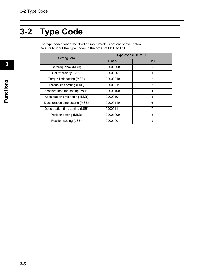# <span id="page-31-1"></span><span id="page-31-0"></span>**3-2 Type Code**

The type codes when the dividing input mode is set are shown below. Be sure to input the type codes in the order of MSB to LSB.

| Setting item                    | Type code (D15 to D8) |            |  |  |  |
|---------------------------------|-----------------------|------------|--|--|--|
|                                 | <b>Binary</b>         | <b>Hex</b> |  |  |  |
| Set frequency (MSB)             | 00000000              | O          |  |  |  |
| Set frequency (LSB)             | 00000001              | 1          |  |  |  |
| Torque limit setting (MSB)      | 00000010              | 2          |  |  |  |
| Torque limit setting (LSB)      | 00000011              | 3          |  |  |  |
| Acceleration time setting (MSB) | 00000100              | 4          |  |  |  |
| Acceleration time setting (LSB) | 00000101              | 5          |  |  |  |
| Deceleration time setting (MSB) | 00000110              | 6          |  |  |  |
| Deceleration time setting (LSB) | 00000111              | 7          |  |  |  |
| Position setting (MSB)          | 00001000              | 8          |  |  |  |
| Position setting (LSB)          | 00001001              | 9          |  |  |  |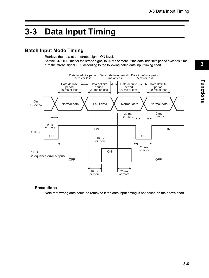# <span id="page-32-1"></span><span id="page-32-0"></span>**3-3 Data Input Timing**

### **Batch Input Mode Timing**

Retrieve the data at the strobe signal ON level. Set the ON/OFF time for the strobe signal to 20 ms or more. If the data indefinite period exceeds 5 ms, turn the strobe signal OFF according to the following batch data input timing chart.



#### **Precautions**

Note that wrong data could be retrieved if the data input timing is not based on the above chart.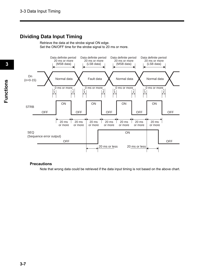### **Dividing Data Input Timing**

Retrieve the data at the strobe signal ON edge. Set the ON/OFF time for the strobe signal to 20 ms or more.



#### **Precautions**

Note that wrong data could be retrieved if the data input timing is not based on the above chart.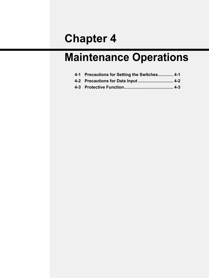# **[Chapter 4](#page-35-1)**

# **M[aintenance Operation](#page-35-0)s**

|  |  |  | 4-1 Precautions for Setting the Switches 4-1 |  |
|--|--|--|----------------------------------------------|--|
|--|--|--|----------------------------------------------|--|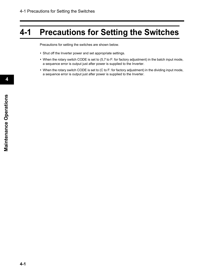## <span id="page-35-1"></span><span id="page-35-0"></span>**4-1 Precautions for Setting the Switches**

Precautions for setting the switches are shown below.

- Shut off the Inverter power and set appropriate settings.
- When the rotary switch CODE is set to (5,7 to F: for factory adjustment) in the batch input mode, a sequence error is output just after power is supplied to the Inverter.
- When the rotary switch CODE is set to (C to F: for factory adjustment) in the dividing input mode, a sequence error is output just after power is supplied to the Inverter.

**4**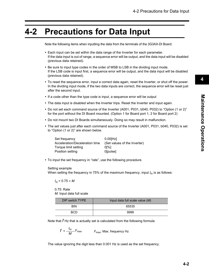## <span id="page-36-0"></span>**4-2 Precautions for Data Input**

Note the following items when inputting the data from the terminals of the 3G3AX-DI Board.

- Each input can be set within the data range of the Inverter for each parameter. If the data input is out of range, a sequence error will be output, and the data input will be disabled (previous data retained).
- Be sure to input type codes in the order of MSB to LSB in the dividing input mode. If the LSB code is input first, a sequence error will be output, and the data input will be disabled (previous data retained).
- To reset the sequence error, input a correct data again, reset the Inverter, or shut off the power. In the dividing input mode, if the two data inputs are correct, the sequence error will be reset just after the second input.
- If a code other than the type code is input, a sequence error will be output
- The data input is disabled when the Inverter trips. Reset the Inverter and input again.
- Do not set each command source of the Inverter (A001, P031, b040, P032) to "Option (1 or 2)" for the port without the DI Board mounted. (Option 1 for Board port 1, 2 for Board port 2)
- Do not mount two DI Boards simultaneously. Doing so may result in malfunction.
- The set values just after each command source of the Inverter (A001, P031, b040, P032) is set to "Option (1 or 2)" are shown below.

| Set frequency                  | $0.00$ [Hz]                  |
|--------------------------------|------------------------------|
| Acceleration/Deceleration time | (Set values of the Inverter) |
| Torque limit setting           | Or%1                         |
| Position setting               | 0[pulse]                     |

To input the set frequency in "rate", use the following procedure.

#### Setting example

When setting the frequency in 75% of the maximum frequency, input *Iin* is as follows:

$$
I_{in}=0.75\times M
$$

0.75: Rate *M*: Input data full scale

| DIP switch TYPE | Input data full scale value $(M)$ |
|-----------------|-----------------------------------|
| <b>BIN</b>      | 65535                             |
| BCD             | 9999                              |

Note that *f* Hz that is actually set is calculated from the following formula:

$$
f = \frac{I_{in}}{M}F_{max}
$$
  $F_{max}$  Max. frequency Hz

The value ignoring the digit less than 0.001 Hz is used as the set frequency.